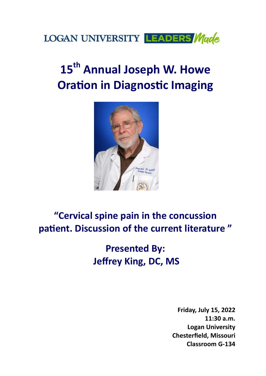

# 15<sup>th</sup> Annual Joseph W. Howe **Oration in Diagnostic Imaging**



## **"Cervical spine pain in the concussion**  patient. Discussion of the current literature"

**Presented By: Jeffrey King, DC, MS** 

> **Friday, July 15, 2022 11:30 a.m. Logan University Chesterfield, Missouri Classroom G‐134**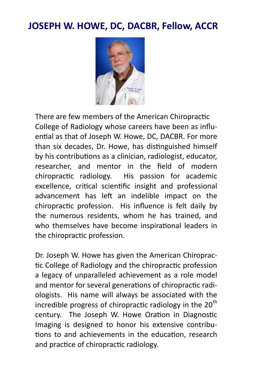#### **JOSEPH W. HOWE, DC, DACBR, Fellow, ACCR**



There are few members of the American Chiropractic College of Radiology whose careers have been as influential as that of Joseph W. Howe, DC, DACBR. For more than six decades, Dr. Howe, has distinguished himself by his contributions as a clinician, radiologist, educator, researcher, and mentor in the field of modern chiropractic radiology. His passion for academic excellence, critical scientific insight and professional advancement has left an indelible impact on the chiropractic profession. His influence is felt daily by the numerous residents, whom he has trained, and who themselves have become inspirational leaders in the chiropractic profession.

Dr. Joseph W. Howe has given the American Chiropractic College of Radiology and the chiropractic profession a legacy of unparalleled achievement as a role model and mentor for several generations of chiropractic radiologists. His name will always be associated with the incredible progress of chiropractic radiology in the  $20<sup>th</sup>$ century. The Joseph W. Howe Oration in Diagnostic Imaging is designed to honor his extensive contributions to and achievements in the education, research and practice of chiropractic radiology.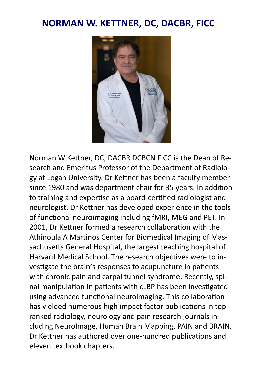#### **NORMAN W. KETTNER, DC, DACBR, FICC**



Norman W Kettner, DC, DACBR DCBCN FICC is the Dean of Research and Emeritus Professor of the Department of Radiology at Logan University. Dr Kettner has been a faculty member since 1980 and was department chair for 35 years. In addition to training and expertise as a board-certified radiologist and neurologist, Dr Kettner has developed experience in the tools of functional neuroimaging including fMRI, MEG and PET. In 2001, Dr Kettner formed a research collaboration with the Athinoula A Martinos Center for Biomedical Imaging of Massachusetts General Hospital, the largest teaching hospital of Harvard Medical School. The research objectives were to investigate the brain's responses to acupuncture in patients with chronic pain and carpal tunnel syndrome. Recently, spinal manipulation in patients with cLBP has been investigated using advanced functional neuroimaging. This collaboration has yielded numerous high impact factor publications in topranked radiology, neurology and pain research journals including NeuroImage, Human Brain Mapping, PAIN and BRAIN. Dr Kettner has authored over one-hundred publications and eleven textbook chapters.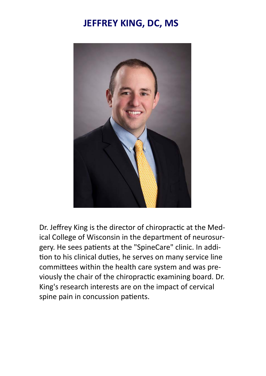### **JEFFREY KING, DC, MS**



Dr. Jeffrey King is the director of chiropractic at the Medical College of Wisconsin in the department of neurosurgery. He sees patients at the "SpineCare" clinic. In addition to his clinical duties, he serves on many service line committees within the health care system and was previously the chair of the chiropractic examining board. Dr. King's research interests are on the impact of cervical spine pain in concussion patients.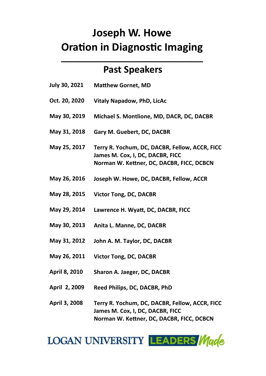## **Joseph W. Howe Oration in Diagnostic Imaging \_\_\_\_\_\_\_\_\_\_\_\_\_\_\_\_\_\_\_\_\_\_\_\_**

#### **Past Speakers**

- **Matthew Gornet, MD July 30, 2021**
- **Vitaly Napadow, PhD, LicAc Oct. 20, 2020**
- **May 30, 2019 Michael S. Montlione, MD, DACR, DC, DACBR** 
	- **Gary M. Guebert, DC, DACBR May 31, 2018**
	- **Terry R. Yochum, DC, DACBR, Fellow, ACCR, FICC James M. Cox, I, DC, DACBR, FICC Norman W. Kettner, DC, DACBR, FICC, DCBCN May 25, 2017**
	- **Joseph W. Howe, DC, DACBR, Fellow, ACCR May 26, 2016**
	- **Victor Tong, DC, DACBR May 28, 2015**
	- **Lawrence H. WyaƩ, DC, DACBR, FICC May 29, 2014**
	- **Anita L. Manne, DC, DACBR May 30, 2013**
	- **John A. M. Taylor, DC, DACBR May 31, 2012**
	- **Victor Tong, DC, DACBR May 26, 2011**
	- **Sharon A. Jaeger, DC, DACBR April 8, 2010**
	- **Reed Philips, DC, DACBR, PhD April 2, 2009**
	- **Terry R. Yochum, DC, DACBR, Fellow, ACCR, FICC James M. Cox, I, DC, DACBR, FICC Norman W. Kettner, DC, DACBR, FICC, DCBCN April 3, 2008**

**LOGAN UNIVERSITY LEADERS Made**